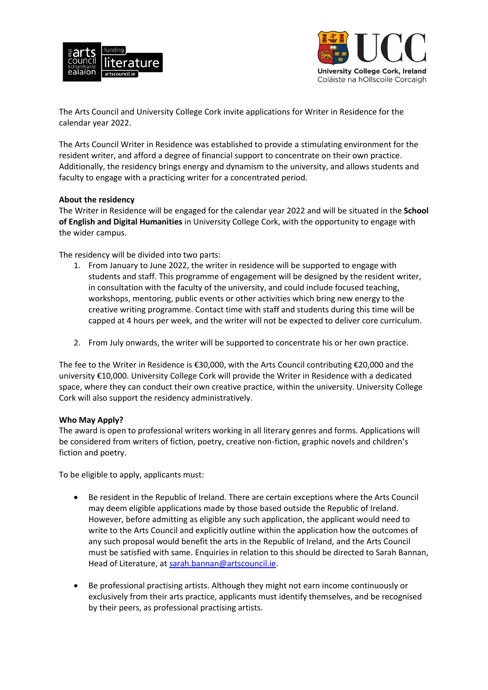



The Arts Council and University College Cork invite applications for Writer in Residence for the calendar year 2022.

The Arts Council Writer in Residence was established to provide a stimulating environment for the resident writer, and afford a degree of financial support to concentrate on their own practice. Additionally, the residency brings energy and dynamism to the university, and allows students and faculty to engage with a practicing writer for a concentrated period.

## **About the residency**

The Writer in Residence will be engaged for the calendar year 2022 and will be situated in the **School of English and Digital Humanities** in University College Cork, with the opportunity to engage with the wider campus.

The residency will be divided into two parts:

- 1. From January to June 2022, the writer in residence will be supported to engage with students and staff. This programme of engagement will be designed by the resident writer, in consultation with the faculty of the university, and could include focused teaching, workshops, mentoring, public events or other activities which bring new energy to the creative writing programme. Contact time with staff and students during this time will be capped at 4 hours per week, and the writer will not be expected to deliver core curriculum.
- 2. From July onwards, the writer will be supported to concentrate his or her own practice.

The fee to the Writer in Residence is €30,000, with the Arts Council contributing €20,000 and the university €10,000. University College Cork will provide the Writer in Residence with a dedicated space, where they can conduct their own creative practice, within the university. University College Cork will also support the residency administratively.

## **Who May Apply?**

The award is open to professional writers working in all literary genres and forms. Applications will be considered from writers of fiction, poetry, creative non-fiction, graphic novels and children's fiction and poetry.

To be eligible to apply, applicants must:

- Be resident in the Republic of Ireland. There are certain exceptions where the Arts Council may deem eligible applications made by those based outside the Republic of Ireland. However, before admitting as eligible any such application, the applicant would need to write to the Arts Council and explicitly outline within the application how the outcomes of any such proposal would benefit the arts in the Republic of Ireland, and the Arts Council must be satisfied with same. Enquiries in relation to this should be directed to Sarah Bannan, Head of Literature, at [sarah.bannan@artscouncil.ie.](mailto:sarah.bannan@artscouncil.ie)
- Be professional practising artists. Although they might not earn income continuously or exclusively from their arts practice, applicants must identify themselves, and be recognised by their peers, as professional practising artists.